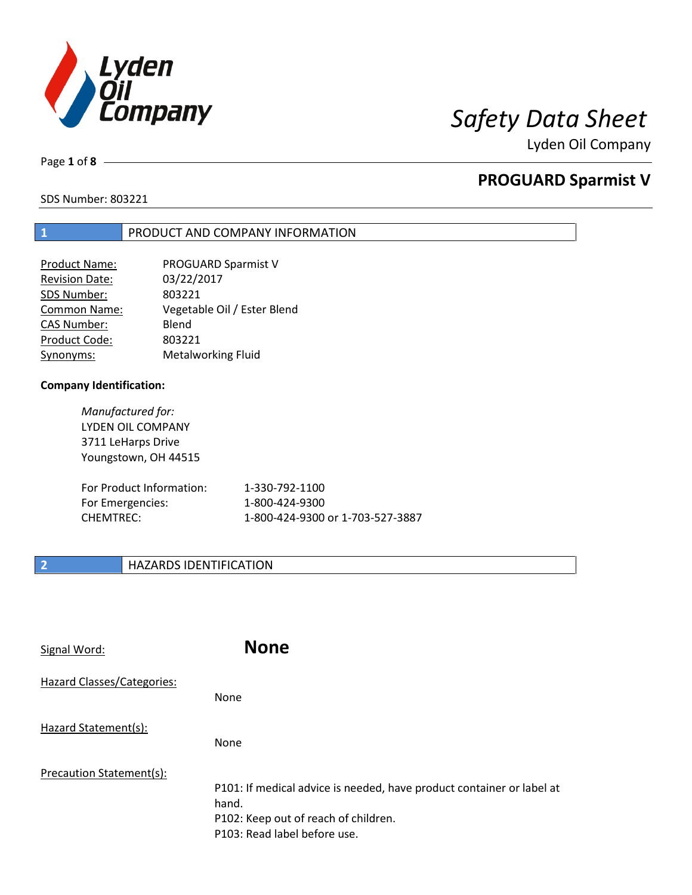

Page **1** of **8**

# **PROGUARD Sparmist V**

SDS Number: 803221

## **1** PRODUCT AND COMPANY INFORMATION

| Product Name:         | PROGUARD Sparmist V         |
|-----------------------|-----------------------------|
| <b>Revision Date:</b> | 03/22/2017                  |
| SDS Number:           | 803221                      |
| <b>Common Name:</b>   | Vegetable Oil / Ester Blend |
| <b>CAS Number:</b>    | Blend                       |
| Product Code:         | 803221                      |
| Synonyms:             | <b>Metalworking Fluid</b>   |

## **Company Identification:**

*Manufactured for:* LYDEN OIL COMPANY 3711 LeHarps Drive Youngstown, OH 44515

| For Product Information: | 1-330-792-1100                   |
|--------------------------|----------------------------------|
| For Emergencies:         | 1-800-424-9300                   |
| CHEMTREC:                | 1-800-424-9300 or 1-703-527-3887 |

## **2 HAZARDS IDENTIFICATION**

| Signal Word:               | <b>None</b>                                                                                                                                            |
|----------------------------|--------------------------------------------------------------------------------------------------------------------------------------------------------|
| Hazard Classes/Categories: | None                                                                                                                                                   |
| Hazard Statement(s):       | None                                                                                                                                                   |
| Precaution Statement(s):   | P101: If medical advice is needed, have product container or label at<br>hand.<br>P102: Keep out of reach of children.<br>P103: Read label before use. |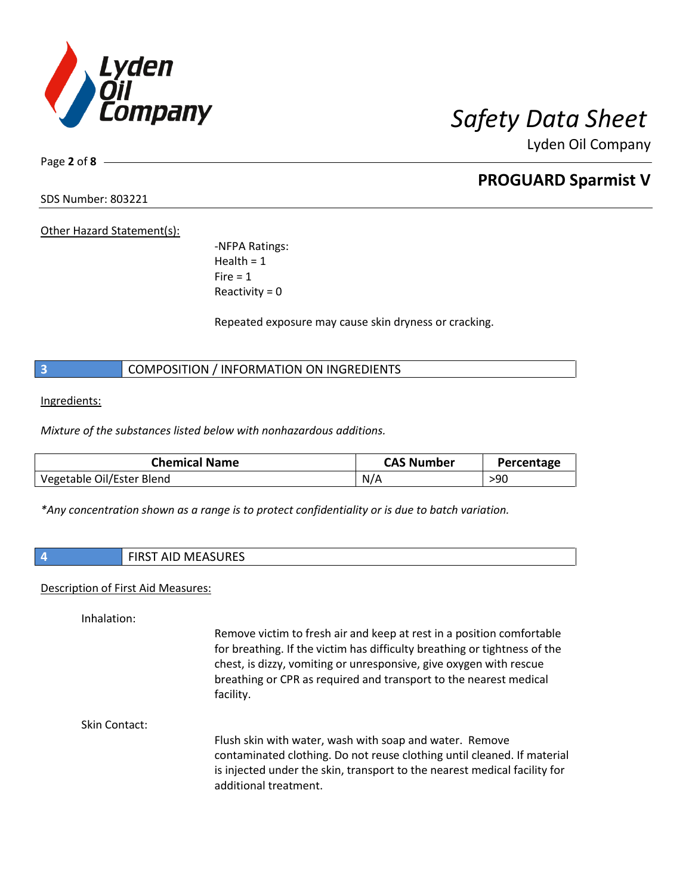

Page **2** of **8**

# **PROGUARD Sparmist V**

SDS Number: 803221

Other Hazard Statement(s):

-NFPA Ratings: Health  $= 1$  $Fire = 1$ Reactivity  $= 0$ 

Repeated exposure may cause skin dryness or cracking.

**3** COMPOSITION / INFORMATION ON INGREDIENTS

Ingredients:

*Mixture of the substances listed below with nonhazardous additions.*

| <b>Chemical Name</b>      | <b>CAS Number</b> | Percentage |
|---------------------------|-------------------|------------|
| Vegetable Oil/Ester Blend | N/A               | >90        |

*\*Any concentration shown as a range is to protect confidentiality or is due to batch variation.*

|  | <b>FIRST AID MEASURES</b><br><b>IVILASURES</b> |  |
|--|------------------------------------------------|--|
|--|------------------------------------------------|--|

### Description of First Aid Measures:

Inhalation:

Remove victim to fresh air and keep at rest in a position comfortable for breathing. If the victim has difficulty breathing or tightness of the chest, is dizzy, vomiting or unresponsive, give oxygen with rescue breathing or CPR as required and transport to the nearest medical facility.

Skin Contact:

Flush skin with water, wash with soap and water. Remove contaminated clothing. Do not reuse clothing until cleaned. If material is injected under the skin, transport to the nearest medical facility for additional treatment.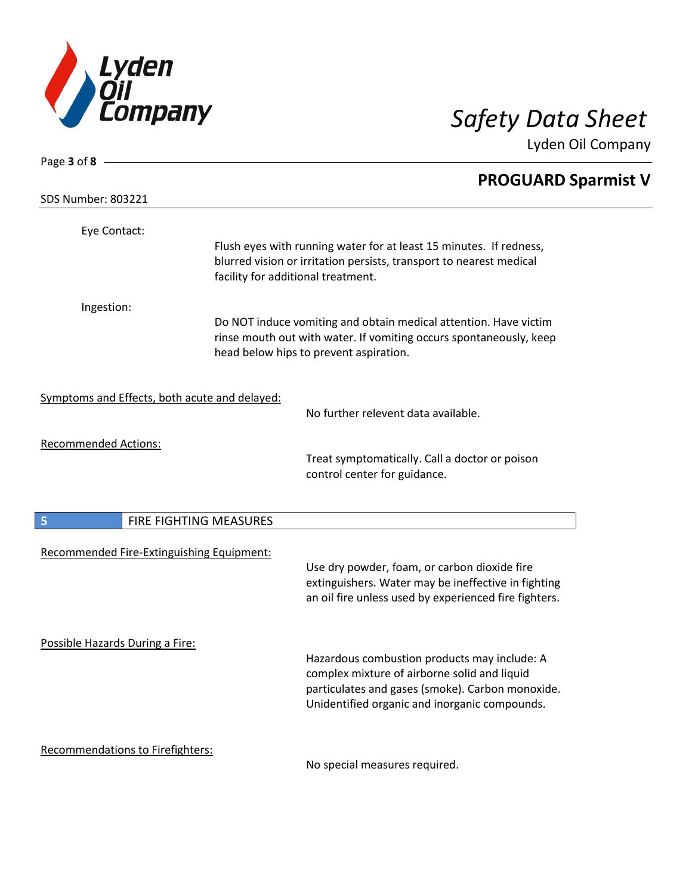

| Page 3 of 8 $-$                               |                        |                                                                                                                                                                                                   |  |
|-----------------------------------------------|------------------------|---------------------------------------------------------------------------------------------------------------------------------------------------------------------------------------------------|--|
| <b>SDS Number: 803221</b>                     |                        | <b>PROGUARD Sparmist V</b>                                                                                                                                                                        |  |
| Eye Contact:                                  |                        | Flush eyes with running water for at least 15 minutes. If redness,<br>blurred vision or irritation persists, transport to nearest medical<br>facility for additional treatment.                   |  |
| Ingestion:                                    |                        | Do NOT induce vomiting and obtain medical attention. Have victim<br>rinse mouth out with water. If vomiting occurs spontaneously, keep<br>head below hips to prevent aspiration.                  |  |
| Symptoms and Effects, both acute and delayed: |                        | No further relevent data available.                                                                                                                                                               |  |
| <b>Recommended Actions:</b>                   |                        | Treat symptomatically. Call a doctor or poison<br>control center for guidance.                                                                                                                    |  |
| 5                                             | FIRE FIGHTING MEASURES |                                                                                                                                                                                                   |  |
| Recommended Fire-Extinguishing Equipment:     |                        | Use dry powder, foam, or carbon dioxide fire<br>extinguishers. Water may be ineffective in fighting<br>an oil fire unless used by experienced fire fighters.                                      |  |
| Possible Hazards During a Fire:               |                        | Hazardous combustion products may include: A<br>complex mixture of airborne solid and liquid<br>particulates and gases (smoke). Carbon monoxide.<br>Unidentified organic and inorganic compounds. |  |
| Recommendations to Firefighters:              |                        | No special measures required.                                                                                                                                                                     |  |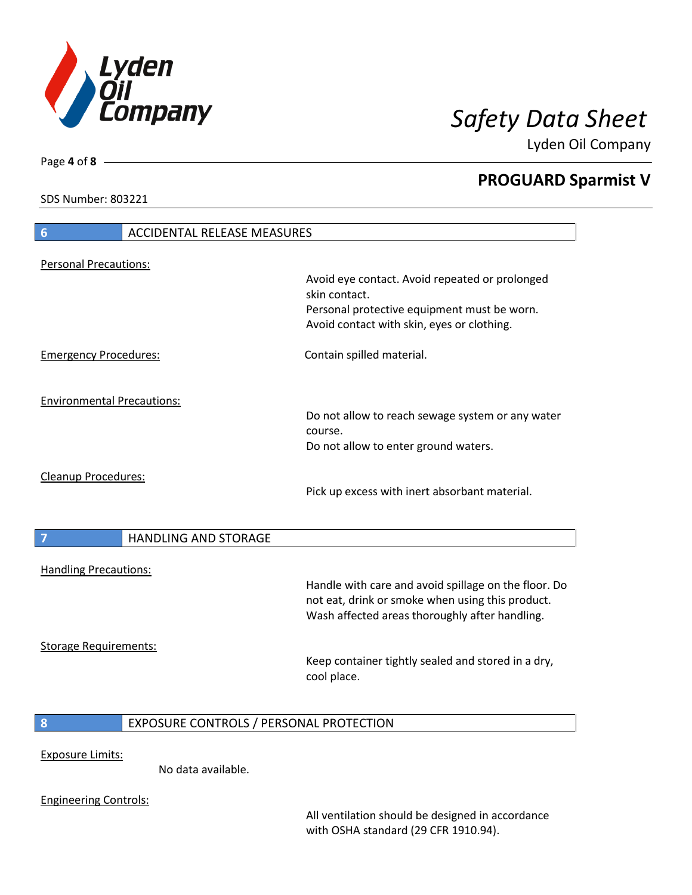

**PROGUARD Sparmist V**

Lyden Oil Company

SDS Number: 803221

Page **4** of **8**

| 6                                 | <b>ACCIDENTAL RELEASE MEASURES</b>      |                                                                                                                                                            |
|-----------------------------------|-----------------------------------------|------------------------------------------------------------------------------------------------------------------------------------------------------------|
| <b>Personal Precautions:</b>      |                                         |                                                                                                                                                            |
|                                   |                                         | Avoid eye contact. Avoid repeated or prolonged<br>skin contact.                                                                                            |
|                                   |                                         | Personal protective equipment must be worn.<br>Avoid contact with skin, eyes or clothing.                                                                  |
| <b>Emergency Procedures:</b>      |                                         | Contain spilled material.                                                                                                                                  |
| <b>Environmental Precautions:</b> |                                         |                                                                                                                                                            |
|                                   |                                         | Do not allow to reach sewage system or any water<br>course.                                                                                                |
|                                   |                                         | Do not allow to enter ground waters.                                                                                                                       |
| <b>Cleanup Procedures:</b>        |                                         | Pick up excess with inert absorbant material.                                                                                                              |
| $\overline{7}$                    | <b>HANDLING AND STORAGE</b>             |                                                                                                                                                            |
| <b>Handling Precautions:</b>      |                                         |                                                                                                                                                            |
|                                   |                                         | Handle with care and avoid spillage on the floor. Do<br>not eat, drink or smoke when using this product.<br>Wash affected areas thoroughly after handling. |
| <b>Storage Requirements:</b>      |                                         |                                                                                                                                                            |
|                                   |                                         | Keep container tightly sealed and stored in a dry,<br>cool place.                                                                                          |
| 8                                 | EXPOSURE CONTROLS / PERSONAL PROTECTION |                                                                                                                                                            |
| <b>Exposure Limits:</b>           | No data available.                      |                                                                                                                                                            |

Engineering Controls:

All ventilation should be designed in accordance with OSHA standard (29 CFR 1910.94).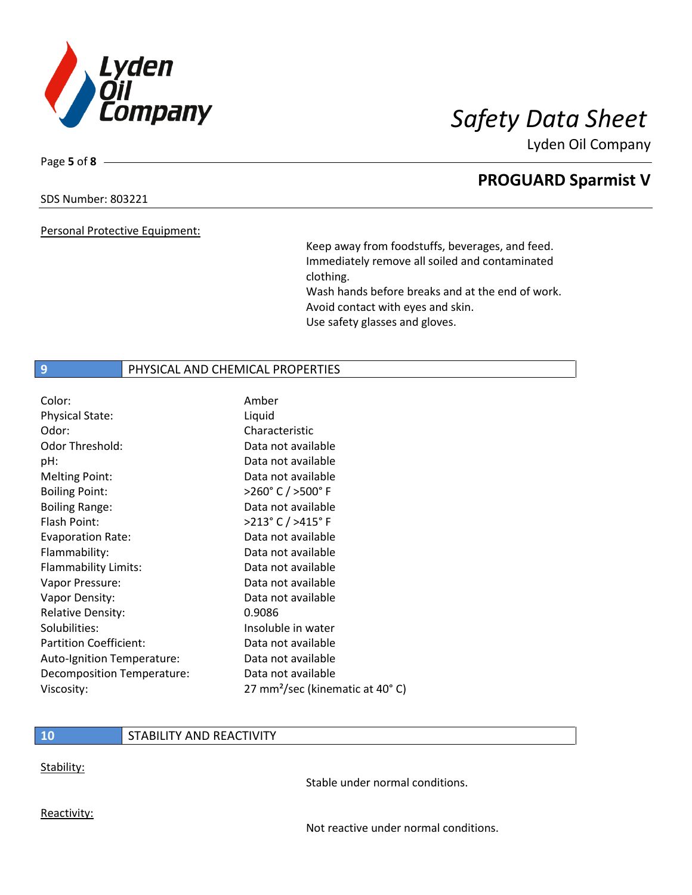

Page **5** of **8**

# **PROGUARD Sparmist V**

## SDS Number: 803221

Personal Protective Equipment:

Keep away from foodstuffs, beverages, and feed. Immediately remove all soiled and contaminated clothing. Wash hands before breaks and at the end of work. Avoid contact with eyes and skin. Use safety glasses and gloves.

## **9 PHYSICAL AND CHEMICAL PROPERTIES**

| Color:                        | Amber                                       |
|-------------------------------|---------------------------------------------|
| <b>Physical State:</b>        | Liquid                                      |
| Odor:                         | Characteristic                              |
| Odor Threshold:               | Data not available                          |
| pH:                           | Data not available                          |
| <b>Melting Point:</b>         | Data not available                          |
| <b>Boiling Point:</b>         | >260° C / >500° F                           |
| <b>Boiling Range:</b>         | Data not available                          |
| Flash Point:                  | >213° C / >415° F                           |
| <b>Evaporation Rate:</b>      | Data not available                          |
| Flammability:                 | Data not available                          |
| Flammability Limits:          | Data not available                          |
| Vapor Pressure:               | Data not available                          |
| Vapor Density:                | Data not available                          |
| <b>Relative Density:</b>      | 0.9086                                      |
| Solubilities:                 | Insoluble in water                          |
| <b>Partition Coefficient:</b> | Data not available                          |
| Auto-Ignition Temperature:    | Data not available                          |
| Decomposition Temperature:    | Data not available                          |
| Viscosity:                    | 27 mm <sup>2</sup> /sec (kinematic at 40°C) |

## **10** STABILITY AND REACTIVITY

Stability:

Stable under normal conditions.

Reactivity:

Not reactive under normal conditions.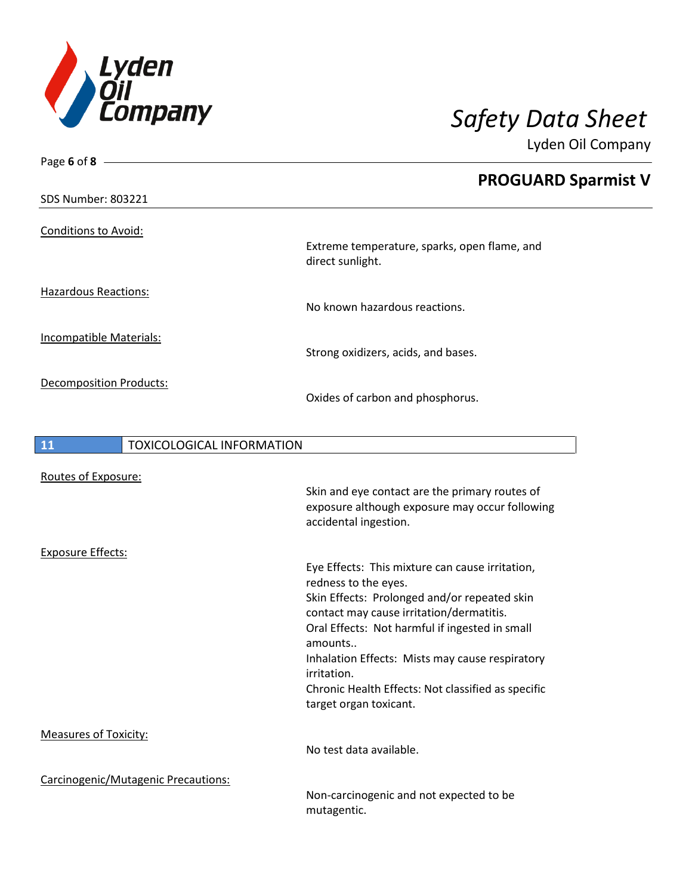

| Page 6 of 8 $-$                        |                                                                         |  |
|----------------------------------------|-------------------------------------------------------------------------|--|
|                                        | <b>PROGUARD Sparmist V</b>                                              |  |
| <b>SDS Number: 803221</b>              |                                                                         |  |
| <b>Conditions to Avoid:</b>            |                                                                         |  |
|                                        | Extreme temperature, sparks, open flame, and<br>direct sunlight.        |  |
| <b>Hazardous Reactions:</b>            | No known hazardous reactions.                                           |  |
|                                        |                                                                         |  |
| Incompatible Materials:                | Strong oxidizers, acids, and bases.                                     |  |
| Decomposition Products:                | Oxides of carbon and phosphorus.                                        |  |
| 11<br><b>TOXICOLOGICAL INFORMATION</b> |                                                                         |  |
|                                        |                                                                         |  |
| Routes of Exposure:                    |                                                                         |  |
|                                        | Skin and eye contact are the primary routes of                          |  |
|                                        | exposure although exposure may occur following<br>accidental ingestion. |  |
| <b>Exposure Effects:</b>               |                                                                         |  |
|                                        | Eye Effects: This mixture can cause irritation,                         |  |
|                                        | redness to the eyes.                                                    |  |
|                                        | Skin Effects: Prolonged and/or repeated skin                            |  |
|                                        | contact may cause irritation/dermatitis.                                |  |
|                                        | Oral Effects: Not harmful if ingested in small                          |  |
|                                        | amounts                                                                 |  |
|                                        | Inhalation Effects: Mists may cause respiratory<br>irritation.          |  |
|                                        | Chronic Health Effects: Not classified as specific                      |  |
|                                        | target organ toxicant.                                                  |  |
| <b>Measures of Toxicity:</b>           |                                                                         |  |
|                                        | No test data available.                                                 |  |
| Carcinogenic/Mutagenic Precautions:    |                                                                         |  |

Non-carcinogenic and not expected to be mutagentic.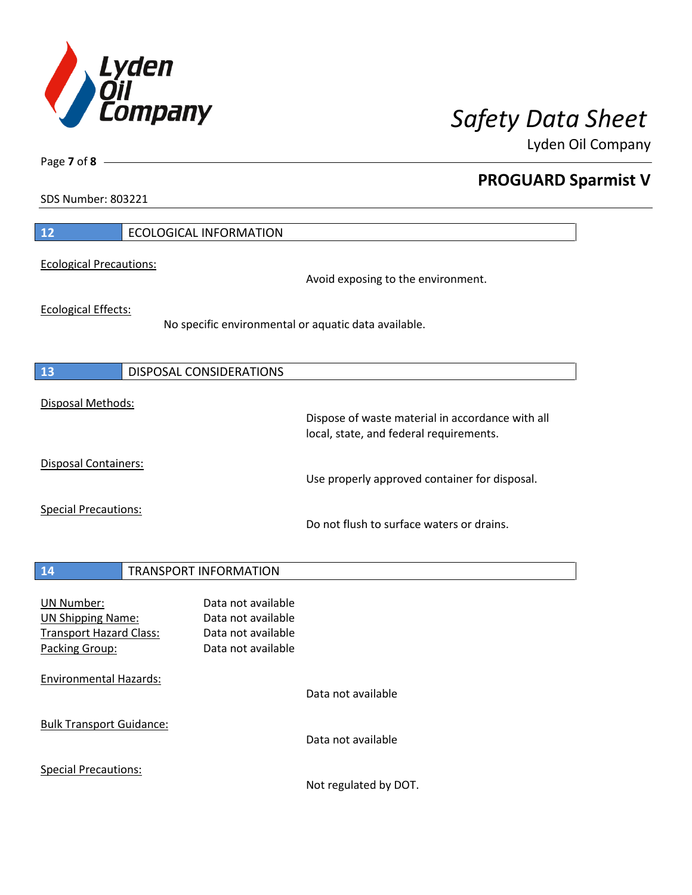

**PROGUARD Sparmist V**

Lyden Oil Company

SDS Number: 803221

Page **7** of **8**

| 12                                                                                         | <b>ECOLOGICAL INFORMATION</b>                                                        |                                                                                             |
|--------------------------------------------------------------------------------------------|--------------------------------------------------------------------------------------|---------------------------------------------------------------------------------------------|
| <b>Ecological Precautions:</b>                                                             |                                                                                      | Avoid exposing to the environment.                                                          |
| <b>Ecological Effects:</b>                                                                 |                                                                                      | No specific environmental or aquatic data available.                                        |
| 13                                                                                         | <b>DISPOSAL CONSIDERATIONS</b>                                                       |                                                                                             |
| Disposal Methods:                                                                          |                                                                                      | Dispose of waste material in accordance with all<br>local, state, and federal requirements. |
| <b>Disposal Containers:</b>                                                                |                                                                                      | Use properly approved container for disposal.                                               |
| <b>Special Precautions:</b>                                                                |                                                                                      | Do not flush to surface waters or drains.                                                   |
| 14                                                                                         | <b>TRANSPORT INFORMATION</b>                                                         |                                                                                             |
| UN Number:<br><b>UN Shipping Name:</b><br><b>Transport Hazard Class:</b><br>Packing Group: | Data not available<br>Data not available<br>Data not available<br>Data not available |                                                                                             |
| <b>Environmental Hazards:</b>                                                              |                                                                                      | Data not available                                                                          |
| <b>Bulk Transport Guidance:</b>                                                            |                                                                                      | Data not available                                                                          |
| <b>Special Precautions:</b>                                                                |                                                                                      |                                                                                             |

Not regulated by DOT.